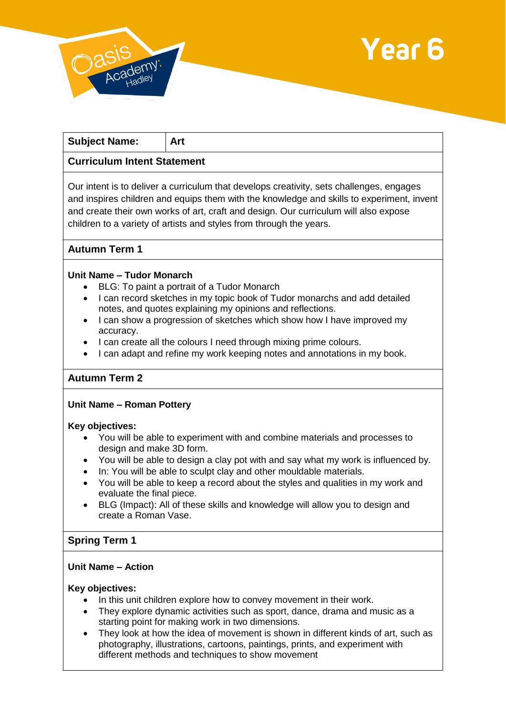



| <b>Subject Name:</b> | Art |
|----------------------|-----|
|----------------------|-----|

## **Curriculum Intent Statement**

Our intent is to deliver a curriculum that develops creativity, sets challenges, engages and inspires children and equips them with the knowledge and skills to experiment, invent and create their own works of art, craft and design. Our curriculum will also expose children to a variety of artists and styles from through the years.

## **Autumn Term 1**

#### **Unit Name – Tudor Monarch**

- BLG: To paint a portrait of a Tudor Monarch
- I can record sketches in my topic book of Tudor monarchs and add detailed notes, and quotes explaining my opinions and reflections.
- I can show a progression of sketches which show how I have improved my accuracy.
- I can create all the colours I need through mixing prime colours.
- I can adapt and refine my work keeping notes and annotations in my book.

## **Autumn Term 2**

#### **Unit Name – Roman Pottery**

#### **Key objectives:**

- You will be able to experiment with and combine materials and processes to design and make 3D form.
- You will be able to design a clay pot with and say what my work is influenced by.
- In: You will be able to sculpt clay and other mouldable materials.
- You will be able to keep a record about the styles and qualities in my work and evaluate the final piece.
- BLG (Impact): All of these skills and knowledge will allow you to design and create a Roman Vase.

## **Spring Term 1**

#### **Unit Name – Action**

#### **Key objectives:**

- In this unit children explore how to convey movement in their work.
- They explore dynamic activities such as sport, dance, drama and music as a starting point for making work in two dimensions.
- They look at how the idea of movement is shown in different kinds of art, such as photography, illustrations, cartoons, paintings, prints, and experiment with different methods and techniques to show movement